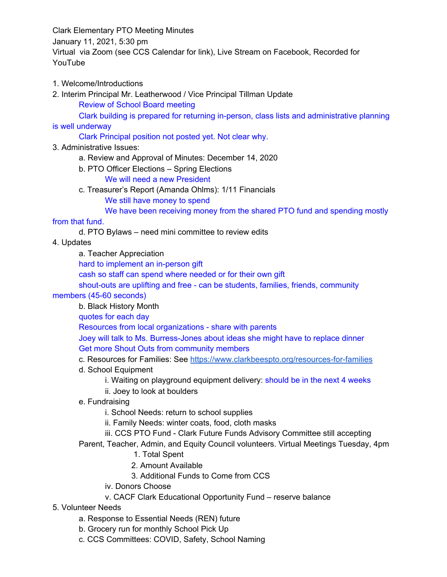Clark Elementary PTO Meeting Minutes January 11, 2021, 5:30 pm Virtual via Zoom (see CCS Calendar for link), Live Stream on Facebook, Recorded for YouTube

### 1. Welcome/Introductions

2. Interim Principal Mr. Leatherwood / Vice Principal Tillman Update Review of School Board meeting

Clark building is prepared for returning in-person, class lists and administrative planning is well underway

## Clark Principal position not posted yet. Not clear why.

### 3. Administrative Issues:

- a. Review and Approval of Minutes: December 14, 2020
- b. PTO Officer Elections Spring Elections
	- We will need a new President
- c. Treasurer's Report (Amanda Ohlms): 1/11 Financials

We still have money to spend

We have been receiving money from the shared PTO fund and spending mostly

### from that fund.

- d. PTO Bylaws need mini committee to review edits
- 4. Updates

a. Teacher Appreciation

hard to implement an in-person gift

cash so staff can spend where needed or for their own gift

shout-outs are uplifting and free - can be students, families, friends, community

#### members (45-60 seconds)

b. Black History Month

quotes for each day

Resources from local organizations - share with parents

Joey will talk to Ms. Burress-Jones about ideas she might have to replace dinner Get more Shout Outs from community members

- c. Resources for Families: See <https://www.clarkbeespto.org/resources-for-families>
- d. School Equipment
	- i. Waiting on playground equipment delivery: should be in the next 4 weeks
	- ii. Joey to look at boulders
- e. Fundraising

i. School Needs: return to school supplies

- ii. Family Needs: winter coats, food, cloth masks
- iii. CCS PTO Fund Clark Future Funds Advisory Committee still accepting
- Parent, Teacher, Admin, and Equity Council volunteers. Virtual Meetings Tuesday, 4pm
	- 1. Total Spent
	- 2. Amount Available
	- 3. Additional Funds to Come from CCS
	- iv. Donors Choose
	- v. CACF Clark Educational Opportunity Fund reserve balance

# 5. Volunteer Needs

- a. Response to Essential Needs (REN) future
- b. Grocery run for monthly School Pick Up
- c. CCS Committees: COVID, Safety, School Naming